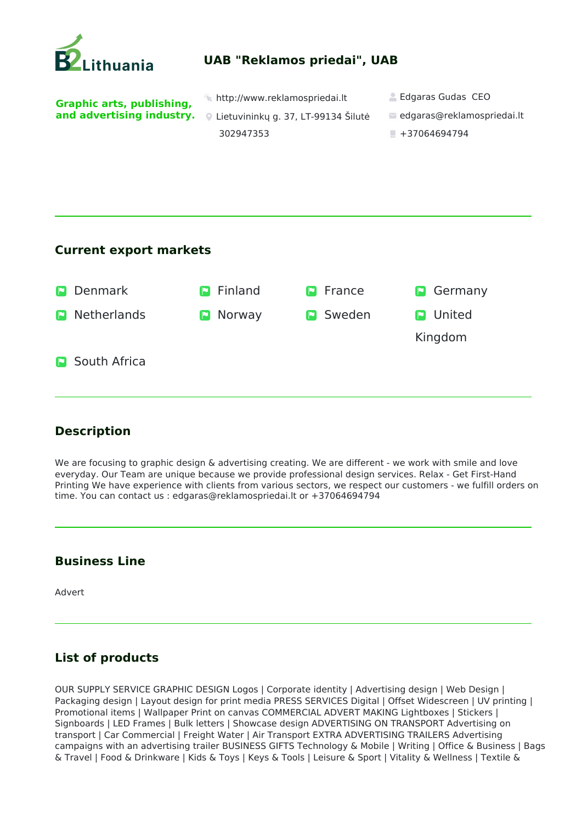

## **Current export markets**

| $\blacksquare$ | <b>Denmark</b>        | <b>D</b> Finland | <b>P</b> France | Germany<br>$\vert \mathbf{E} \vert$ |
|----------------|-----------------------|------------------|-----------------|-------------------------------------|
| P              | <b>Netherlands</b>    | Norway<br>P      | <b>P</b> Sweden | <b>D</b> United                     |
|                |                       |                  |                 | Kingdom                             |
|                | <b>P</b> South Africa |                  |                 |                                     |

## **Description**

We are focusing to graphic design & advertising creating. We are different - we work with smile and love everyday. Our Team are unique because we provide professional design services. Relax - Get First-Hand Printing We have experience with clients from various sectors, we respect our customers - we fulfill orders on time. You can contact us : edgaras@reklamospriedai.lt or +37064694794

## **Business Line**

Advert

## **List of products**

OUR SUPPLY SERVICE GRAPHIC DESIGN Logos | Corporate identity | Advertising design | Web Design | Packaging design | Layout design for print media PRESS SERVICES Digital | Offset Widescreen | UV printing | Promotional items | Wallpaper Print on canvas COMMERCIAL ADVERT MAKING Lightboxes | Stickers | Signboards | LED Frames | Bulk letters | Showcase design ADVERTISING ON TRANSPORT Advertising on transport | Car Commercial | Freight Water | Air Transport EXTRA ADVERTISING TRAILERS Advertising campaigns with an advertising trailer BUSINESS GIFTS Technology & Mobile | Writing | Office & Business | Bags & Travel | Food & Drinkware | Kids & Toys | Keys & Tools | Leisure & Sport | Vitality & Wellness | Textile &